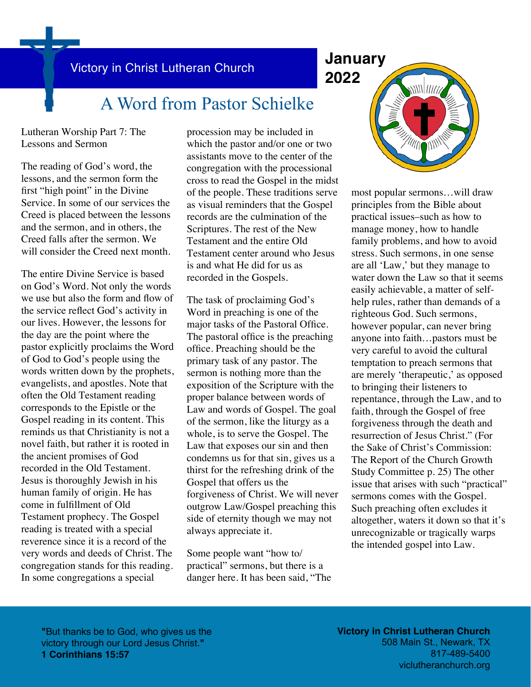Victory in Christ Lutheran Church **January**

# **2022**

## A Word from Pastor Schielke

Lutheran Worship Part 7: The Lessons and Sermon

The reading of God's word, the lessons, and the sermon form the first "high point" in the Divine Service. In some of our services the Creed is placed between the lessons and the sermon, and in others, the Creed falls after the sermon. We will consider the Creed next month.

The entire Divine Service is based on God's Word. Not only the words we use but also the form and flow of the service reflect God's activity in our lives. However, the lessons for the day are the point where the pastor explicitly proclaims the Word of God to God's people using the words written down by the prophets, evangelists, and apostles. Note that often the Old Testament reading corresponds to the Epistle or the Gospel reading in its content. This reminds us that Christianity is not a novel faith, but rather it is rooted in the ancient promises of God recorded in the Old Testament. Jesus is thoroughly Jewish in his human family of origin. He has come in fulfillment of Old Testament prophecy. The Gospel reading is treated with a special reverence since it is a record of the very words and deeds of Christ. The congregation stands for this reading. In some congregations a special

procession may be included in which the pastor and/or one or two assistants move to the center of the congregation with the processional cross to read the Gospel in the midst of the people. These traditions serve as visual reminders that the Gospel records are the culmination of the Scriptures. The rest of the New Testament and the entire Old Testament center around who Jesus is and what He did for us as recorded in the Gospels.

The task of proclaiming God's Word in preaching is one of the major tasks of the Pastoral Office. The pastoral office is the preaching office. Preaching should be the primary task of any pastor. The sermon is nothing more than the exposition of the Scripture with the proper balance between words of Law and words of Gospel. The goal of the sermon, like the liturgy as a whole, is to serve the Gospel. The Law that exposes our sin and then condemns us for that sin, gives us a thirst for the refreshing drink of the Gospel that offers us the forgiveness of Christ. We will never outgrow Law/Gospel preaching this side of eternity though we may not always appreciate it.

Some people want "how to/ practical" sermons, but there is a danger here. It has been said, "The



most popular sermons…will draw principles from the Bible about practical issues–such as how to manage money, how to handle family problems, and how to avoid stress. Such sermons, in one sense are all 'Law,' but they manage to water down the Law so that it seems easily achievable, a matter of selfhelp rules, rather than demands of a righteous God. Such sermons, however popular, can never bring anyone into faith…pastors must be very careful to avoid the cultural temptation to preach sermons that are merely 'therapeutic,' as opposed to bringing their listeners to repentance, through the Law, and to faith, through the Gospel of free forgiveness through the death and resurrection of Jesus Christ." (For the Sake of Christ's Commission: The Report of the Church Growth Study Committee p. 25) The other issue that arises with such "practical" sermons comes with the Gospel. Such preaching often excludes it altogether, waters it down so that it's unrecognizable or tragically warps the intended gospel into Law.

**"**But thanks be to God, who gives us the victory through our Lord Jesus Christ.**" 1 Corinthians 15:57**

**Victory in Christ Lutheran Church** 508 Main St., Newark, TX 817-489-5400 viclutheranchurch.org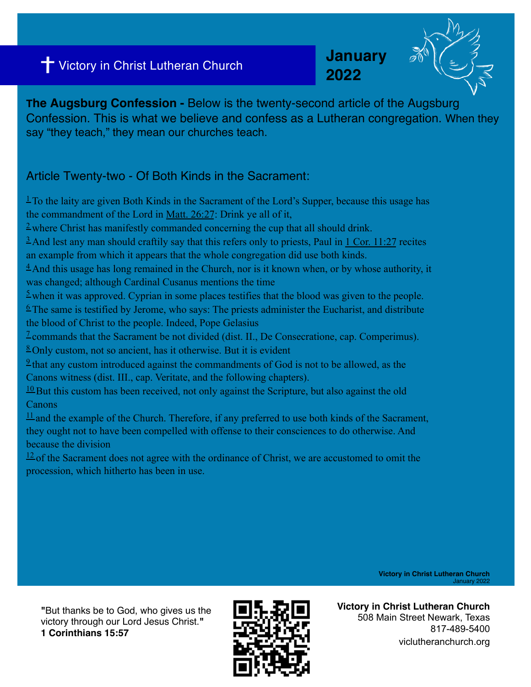## **2022** Victory in Christ Lutheran Church

**January** 

**The Augsburg Confession -** Below is the twenty-second article of the Augsburg Confession. This is what we believe and confess as a Lutheran congregation. When they say "they teach," they mean our churches teach.

#### Article Twenty-two - Of Both Kinds in the Sacrament:

 $\perp$ To the laity are given Both Kinds in the Sacrament of the Lord's Supper, because this usage has the commandment of the Lord in [Matt. 26:27:](https://biblia.com/bible/esv/Matt.%2026.27%22%20%5Ct%20%22_blank) Drink ye all of it, <sup>2</sup> where Christ has manifestly commanded concerning the cup that all should drink.  $\frac{3}{2}$ And lest any man should craftily say that this refers only to priests, Paul in [1 Cor. 11:27](https://biblia.com/bible/esv/1%20Cor.%2011.27%22%20%5Ct%20%22_blank) recites an example from which it appears that the whole congregation did use both kinds.  $\pm$  And this usage has long remained in the Church, nor is it known when, or by whose authority, it was changed; although Cardinal Cusanus mentions the time  $\frac{5}{2}$  when it was approved. Cyprian in some places testifies that the blood was given to the people.  $6$ The same is testified by Jerome, who says: The priests administer the Eucharist, and distribute the blood of Christ to the people. Indeed, Pope Gelasius [7 c](https://boc.confident.faith/ac-xxii-0007%22%20%5Ct%20%22_blank)ommands that the Sacrament be not divided (dist. II., De Consecratione, cap. Comperimus).  $\frac{8}{2}$ Only custom, not so ancient, has it otherwise. But it is evident  $\frac{9}{2}$ that any custom introduced against the commandments of God is not to be allowed, as the Canons witness (dist. III., cap. Veritate, and the following chapters).  $10$  But this custom has been received, not only against the Scripture, but also against the old Canons  $\frac{11}{2}$  and the example of the Church. Therefore, if any preferred to use both kinds of the Sacrament, they ought not to have been compelled with offense to their consciences to do otherwise. And

because the division

 $\frac{12}{12}$  of the Sacrament does not agree with the ordinance of Christ, we are accustomed to omit the procession, which hitherto has been in use.

> **Victory in Christ Lutheran Church**  January 2022

**"**But thanks be to God, who gives us the victory through our Lord Jesus Christ.**" 1 Corinthians 15:57**



**Victory in Christ Lutheran Church** 508 Main Street Newark, Texas 817-489-5400 viclutheranchurch.org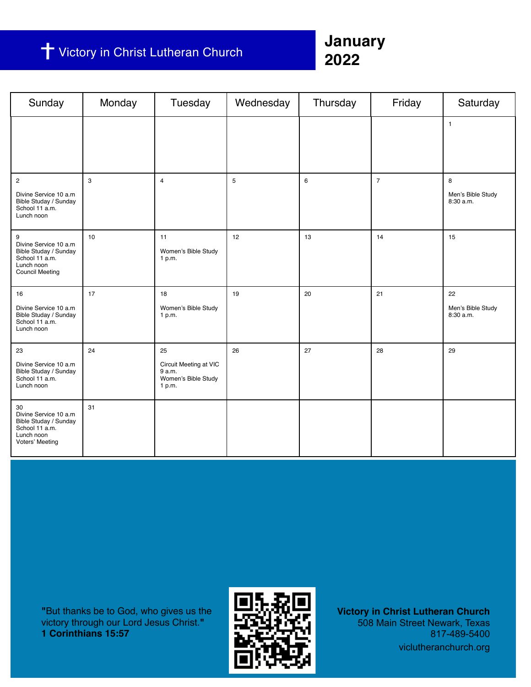## Victory in Christ Lutheran Church

### **January 2022**

| Sunday                                                                                                        | Monday | Tuesday                                                                 | Wednesday | Thursday | Friday         | Saturday                             |
|---------------------------------------------------------------------------------------------------------------|--------|-------------------------------------------------------------------------|-----------|----------|----------------|--------------------------------------|
|                                                                                                               |        |                                                                         |           |          |                | $\mathbf{1}$                         |
| $\overline{c}$<br>Divine Service 10 a.m<br>Bible Studay / Sunday<br>School 11 a.m.<br>Lunch noon              | 3      | $\overline{4}$                                                          | 5         | 6        | $\overline{7}$ | 8<br>Men's Bible Study<br>8:30 a.m.  |
| 9<br>Divine Service 10 a.m<br>Bible Studay / Sunday<br>School 11 a.m.<br>Lunch noon<br><b>Council Meeting</b> | 10     | 11<br>Women's Bible Study<br>1 p.m.                                     | 12        | 13       | 14             | 15                                   |
| 16<br>Divine Service 10 a.m<br>Bible Studay / Sunday<br>School 11 a.m.<br>Lunch noon                          | 17     | 18<br>Women's Bible Study<br>1 p.m.                                     | 19        | 20       | 21             | 22<br>Men's Bible Study<br>8:30 a.m. |
| 23<br>Divine Service 10 a.m<br>Bible Studay / Sunday<br>School 11 a.m.<br>Lunch noon                          | 24     | 25<br>Circuit Meeting at VIC<br>9 a.m.<br>Women's Bible Study<br>1 p.m. | 26        | 27       | 28             | 29                                   |
| 30<br>Divine Service 10 a.m<br>Bible Studay / Sunday<br>School 11 a.m.<br>Lunch noon<br>Voters' Meeting       | 31     |                                                                         |           |          |                |                                      |

**"**But thanks be to God, who gives us the victory through our Lord Jesus Christ.**" 1 Corinthians 15:57**



**Victory in Christ Lutheran Church** 508 Main Street Newark, Texas 817-489-5400 viclutheranchurch.org